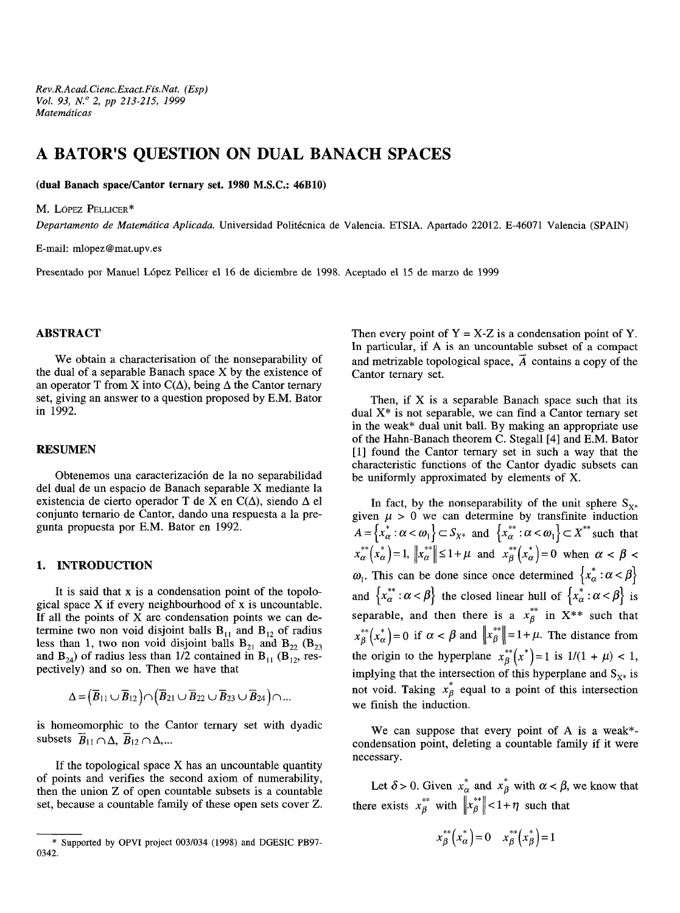# **A BATOR'S QUESTION ON DUAL BANACH SPACES**

**(dual Banach space/Cantor ternary set. 1980 M.S.C.: 46B10)**

M. LÓPEZ PELLICER\*

*Departamento de Matemática Aplicada.* Universidad Politécnica de Valencia. ETSIA. Apartado 22012. E-46071 Valencia (SPAIN)

E-mail: mlopez@mat.upv.es

Presentado por Manuel López Pellicer el 16 de diciembre de 1998. Aceptado el 15 de marzo de 1999

### **ABSTRACT**

We obtain a characterisation of the nonseparability of the dual of a separable Banach space X by the existence of an operator T from X into  $C(\Delta)$ , being  $\Delta$  the Cantor ternary set, giving an answer to a question proposed by E.M. Bator in 1992.

#### **RESUMEN**

Obtenemos una caracterización de la no separabilidad del dual de un espacio de Banach separable X mediante la existencia de cierto operador T de X en  $C(\Delta)$ , siendo  $\Delta$  el conjunto ternario de Cantor, dando una respuesta a la pregunta propuesta por E.M. Bator en 1992.

### **1. INTRODUCTION**

It is said that x is a condensation point of the topological space X if every neighbourhood of x is uncountable. If all the points of  $X$  are condensation points we can determine two non void disjoint balls  $B_{11}$  and  $B_{12}$  of radius less than 1, two non void disjoint balls  $B_{21}$  and  $B_{22}$  ( $B_{23}$ ) and  $B_{24}$ ) of radius less than 1/2 contained in  $B_{11}$  ( $B_{12}$ , respectively) and so on. Then we have that

$$
\Delta\hspace*{-0.1em}=\hspace*{-0.1em}\big(\overline{B}_{11}\cup\overline{B}_{12}\big)\hspace*{-0.1em}\big\cap\hspace*{-0.1em}\big(\overline{B}_{21}\cup\overline{B}_{22}\cup\overline{B}_{23}\cup\overline{B}_{24}\big)\hspace*{-0.1em}\big\}\hspace*{-0.1em}\dots
$$

is homeomorphic to the Cantor ternary set with dyadic subsets  $\overline{B}_{11} \cap \Delta$ ,  $\overline{B}_{12} \cap \Delta$ ,...

If the topological space  $X$  has an uncountable quantity of points and verifies the second axiom of numerability, then the union Z of open countable subsets is a countable set, because a countable family of these open sets cover Z. Then every point of  $Y = X-Z$  is a condensation point of Y. In particular, if A is an uncountable subset of a compact and metrizable topological space,  $\overline{A}$  contains a copy of the Cantor ternary set.

Then, if X is a separable Banach space such that its dual  $X^*$  is not separable, we can find a Cantor ternary set in the weak\* dual unit ball. By making an appropriate use of the Hahn-Banach theorem C. Stegall [4] and E.M. Bator [1] found the Cantor ternary set in such a way that the characteristic functions of the Cantor dyadic subsets can be uniformly approximated by elements of X.

In fact, by the nonseparability of the unit sphere  $S_{X^*}$ given  $\mu > 0$  we can determine by transfinite induction  $A = \{x^*_{\alpha} : \alpha < \omega_1\} \subset S_{X^*}$  and  $\{x^{**}_{\alpha} : \alpha < \omega_1\} \subset X^{**}$  such that  $x_{\alpha}^{**}(x_{\alpha}^*)=1$ ,  $||x_{\alpha}^{**}|| \leq 1 + \mu$  and  $x_{\beta}^{**}(x_{\alpha}^*)=0$  when  $\alpha < \beta$  $\omega_1$ . This can be done since once determined  $\{x^*_{\alpha} : \alpha < \beta\}$ and  $\{x_{\alpha}^{**} : \alpha < \beta\}$  the closed linear hull of  $\{x_{\alpha}^{*} : \alpha < \beta\}$  is separable, and then there is a  $x_{\beta}^{**}$  in X\*\* such that  $x_\beta^{**}(x_\alpha^*) = 0$  if  $\alpha < \beta$  and  $\left\| x_\beta^{**} \right\| = 1 + \mu$ . The distance from the origin to the hyperplane  $x_{\beta}^{**}(x^*)=1$  is  $1/(1 + \mu) < 1$ , implying that the intersection of this hyperplane and  $S_{X^*}$  is not void. Taking  $x_{\beta}^{*}$  equal to a point of this intersection we finish the induction.

We can suppose that every point of A is a weak\* condensation point, deleting a countable family if it were necessary.

Let  $\delta$  > 0. Given  $x_{\alpha}^*$  and  $x_{\beta}^*$  with  $\alpha < \beta$ , we know that there exists  $x_{\beta}^{**}$  with  $||x_{\beta}^{**}|| < 1 + \eta$  such that

$$
x_{\beta}^{**}\left(x_{\alpha}^{*}\right) = 0 \quad x_{\beta}^{**}\left(x_{\beta}^{*}\right) = 1
$$

<sup>0342.</sup> Supported by OPVI project 003/034 (1998) and DGESIC PB97-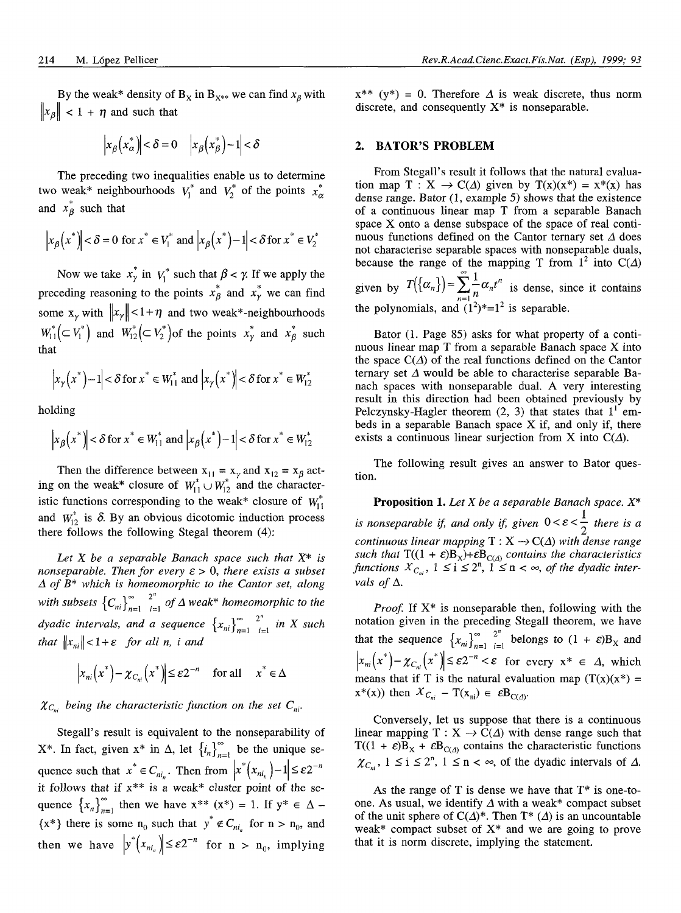By the weak\* density of  $B_x$  in  $B_{x**}$  we can find  $x_\beta$  with  $\|x_{\beta}\|$  < 1 +  $\eta$  and such that

$$
\left|x_{\beta}\left(x_{\alpha}^{*}\right)\right| < \delta = 0 \quad \left|x_{\beta}\left(x_{\beta}^{*}\right) - 1\right| < \delta
$$

The preceding two inequalities enable us to determine two weak\* neighbourhoods  $V_1^*$  and  $V_2^*$  of the points  $x^*_{\alpha}$ and  $x^*_{\beta}$  such that

$$
\left|x_{\beta}\left(x^*\right)\right| < \delta = 0 \text{ for } x^* \in V_1^* \text{ and } \left|x_{\beta}\left(x^*\right) - 1\right| < \delta \text{ for } x^* \in V_2^*
$$

Now we take  $x^*$ <sup>*i*</sup> in  $V_1^*$  such that  $\beta < \gamma$ . If we apply the preceding reasoning to the points  $x^*_{\beta}$  and  $x^*_{\gamma}$  we can find some  $x_v$  with  $||x_v|| < 1 + \eta$  and two weak\*-neighbourhoods  $W_{11}^*(\subset V_1^*)$  and  $W_{12}^*(\subset V_2^*)$  of the points  $x^*_\gamma$  and  $x^*_\beta$  such that

$$
\left|x_{\gamma}\left(x^{*}\right)-1\right|<\delta \text{ for } x^{*} \in W_{11}^{*} \text{ and } \left|x_{\gamma}\left(x^{*}\right)\right|<\delta \text{ for } x^{*} \in W_{12}^{*}
$$

holding

$$
\left|x_{\beta}\left(x^*\right)\right| < \delta \text{ for } x^* \in W_{11}^* \text{ and } \left|x_{\beta}\left(x^*\right) - 1\right| < \delta \text{ for } x^* \in W_{12}^*
$$

Then the difference between  $x_{11} = x_{\gamma}$  and  $x_{12} = x_{\beta}$  acting on the weak\* closure of  $W_{11}^* \cup W_{12}^*$  and the characteristic functions corresponding to the weak\* closure of  $W_{11}^*$ and  $W_{12}^*$  is  $\delta$ . By an obvious dicotomic induction process there follows the following Stegal theorem (4):

*Let X be a separable Banach space such that X\* is nonseparable. Then for every*  $\varepsilon > 0$ *, there exists a subset A of B\* which is homeomorphic to the Cantor set, along* with subsets  $\left\{C_{ni}\right\}_{n=1}^{\infty} \stackrel{2^n}{\longrightarrow}$  of  $\Delta$  weak\* homeomorphic to the *dyadic intervals, and a sequence*  $\{x_{ni}\}_{n=1}^{\infty}$   $\sum_{i=1}^{2^n}$  *in X such that*  $\|x_{ni}\| < 1 + \varepsilon$  *for all n, i and* 

$$
\left|x_{ni}\left(x^*\right) - \chi_{C_{ni}}\left(x^*\right)\right| \leq \varepsilon 2^{-n} \quad \text{for all} \quad x^* \in \Delta
$$

### $\chi_{C_{ni}}$  being the characteristic function on the set  $C_{ni}$ .

Stegall's result is equivalent to the nonseparability of  $X^*$ . In fact, given  $x^*$  in  $\Delta$ , let  $\{i_n\}_{n=1}^{\infty}$  be the unique sequence such that  $x^* \in C_{ni}$ . Then from  $|x^*(x_{ni})-1| \leq \varepsilon 2^{-n}$ it follows that if  $x^{**}$  is a weak\* cluster point of the sequence  $\{x_n\}_{n=1}^{\infty}$  then we have  $x^{**}$   $(x^*) = 1$ . If  $y^* \in \Delta$  –  ${x^*}$  there is some  $n_0$  such that  $y^* \notin C_{ni_n}$  for  $n > n_0$ , and then we have  $y^*(x_{ni_n}) \leq \varepsilon 2^{-n}$  for  $n > n_0$ , implying

 $x^{**}$  (y<sup>\*</sup>) = 0. Therefore  $\Delta$  is weak discrete, thus norm discrete, and consequently  $X^*$  is nonseparable.

#### **2. BATOR'S PROBLEM**

From Stegall's result it follows that the natural evaluation map  $T : X \to C(\Delta)$  given by  $T(x)(x^*) = x^*(x)$  has dense range. Bator (1, example 5) shows that the existence of a continuous linear map T from a separable Banach space X onto a dense subspace of the space of real continuous functions defined on the Cantor ternary set *A* does not characterise separable spaces with nonseparable duals, because the range of the mapping T from  $1^2$  into  $C(\Delta)$ 

given by  $T({\alpha_n}) = \sum_{n=1}^{\infty} a_n t^n$  is dense, since it contains the polynomials, and  $(1^2)^*$ =1<sup>2</sup> is separable.

Bator (1. Page 85) asks for what property of a continuous linear map T from a separable Banach space X into the space  $C(\Lambda)$  of the real functions defined on the Cantor ternary set  $\Delta$  would be able to characterise separable Banach spaces wilh nonseparable dual. A very interesting resull in this direction had been obtained previously by Pelczynsky-Hagler theorem  $(2, 3)$  that states that  $1<sup>1</sup>$  embeds in a separable Banach space  $X$  if, and only if, there exists a continuous linear surjection from X into  $C(\Delta)$ .

The following result gives an answer to Bator question.

**Proposition 1.** *Let X be a separable Banach space. X\* is nonseparable if, and only if, given*  $0 < \varepsilon < \frac{1}{2}$  there is a *continuous linear mapping*  $T : X \rightarrow C(\Delta)$  with dense range such that  $T((1 + \varepsilon)B_X) + \varepsilon B_{C(A)}$  contains the characteristics *functions*  $X_{C_{ni}}$ ,  $1 \leq i \leq 2^n$ ,  $1 \leq n < \infty$ , *of the dyadic intervals of A.*

*Proof.* If  $X^*$  is nonseparable then, following with the notation given in the preceding Stegall theorem, we have that the sequence  ${x_{ni}}^{\infty}_{n=1}^{2^n}_{i=1}$  belongs to  $(1 + \varepsilon)B_x$  and  $\mathcal{X}_{ni}(x^*) - \mathcal{X}_{C_{ni}}(x^*) \leq \varepsilon 2^{-n} < \varepsilon$  for every  $x^* \in \Delta$ , which means that if T is the natural evaluation map  $(T(x)(x^*) =$  $x^*(x)$  then  $X_{C_{ni}} - T(x_{ni}) \in \varepsilon B_{C(\Delta)}$ .

Conversely, let us suppose that there is a continuous linear mapping  $T : X \to C(\Delta)$  with dense range such that  $T((1 + \varepsilon)B_X + \varepsilon B_{C(A)}$  contains the characteristic functions  $\chi_{C_{-i}}$ ,  $1 \le i \le 2^n$ ,  $1 \le n < \infty$ , of the dyadic intervals of  $\Delta$ .

As the range of T is dense we have that  $T^*$  is one-toone. As usual, we identify  $\Delta$  with a weak\* compact subset of the unit sphere of  $C(\Delta)^*$ . Then T<sup>\*</sup> ( $\Delta$ ) is an uncountable weak\* compact subset of  $X^*$  and we are going to prove that it is norm discrete, implying the statement.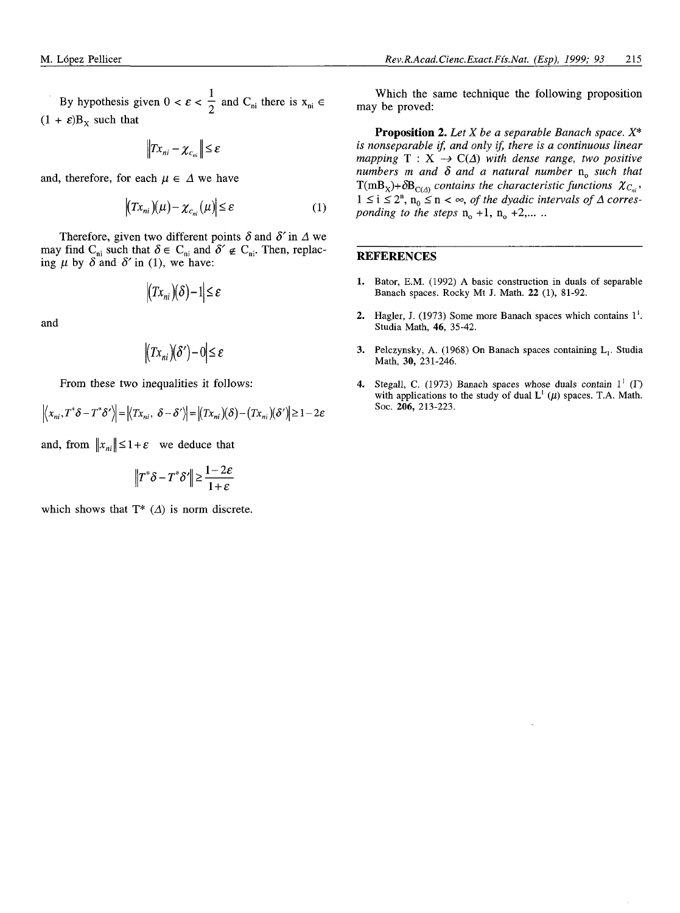By hypothesis given  $0 < \varepsilon < \frac{1}{2}$  and  $C_{\text{ni}}$  there is  $x_{\text{ni}} \in$  $(1 + \varepsilon)B_x$  such that

$$
\left\|Tx_{ni}-\chi_{c_{ni}}\right\|\leq\varepsilon
$$

and, therefore, for each  $\mu \in \Delta$  we have

$$
\left| \left( Tx_{ni} \right) (\mu) - \chi_{c_{ni}} (\mu) \right| \leq \varepsilon \tag{1}
$$

Therefore, given two different points  $\delta$  and  $\delta'$  in  $\Delta$  we may find C<sub>ni</sub> such that  $\delta \in C_{ni}$  and  $\delta' \notin C_{ni}$ . Then, replacing  $\mu$  by  $\delta$  and  $\delta'$  in (1), we have:

$$
|(Tx_{ni})(\delta)-1|\leq \varepsilon
$$

and

$$
|(Tx_{ni})(\delta')-0| \leq \varepsilon
$$

From these two inequalities it follows:

$$
\left| \left\langle x_{ni}, T^* \delta - T^* \delta' \right\rangle \right| = \left| \left\langle Tx_{ni}, \delta - \delta' \right\rangle \right| = \left| \left( Tx_{ni} \right) (\delta) - \left( Tx_{ni} \right) (\delta' ) \right| \ge 1 - 2\varepsilon
$$

and, from  $||x_{ni}|| \leq 1 + \varepsilon$  we deduce that

$$
\left\|T^*\delta - T^*\delta'\right\| \ge \frac{1-2\varepsilon}{1+\varepsilon}
$$

which shows that  $T^*$   $(\Delta)$  is norm discrete.

Which the same technique the following proposition may be proved:

**Proposition** 2. *Let X be a separable Banach space. X\* is nonseparable if, and only if, there is a continuous linear mapping*  $T : X \rightarrow C(\Delta)$  *with dense range, two positive numbers m and*  $\delta$  *and a natural number*  $n_0$  such that  $T(mB_X)+\delta B_{C(4)}$  contains the characteristic functions  $\chi_{C_{ni}}$ ,  $1 \leq i \leq 2^n$ ,  $n_0 \leq n < \infty$ , *of the dyadic intervals of*  $\Delta$  corres*ponding to the steps*  $n_0 + 1$ ,  $n_0 + 2, ...$ 

#### **REFERENCES**

- 1. Bator, E.M. (1992) A basic construction in duals of separable Banach spaces. Rocky Mt J. Math. 22 (1), 81-92.
- 2. Hagler, J. (1973) Some more Banach spaces which contains  $1<sup>1</sup>$ . Studia Math, **46,** 35-42.
- 3. Pelczynsky, A. (1968) On Banach spaces containing L,. Studia Math, **30,** 231-246.
- 4. Stegall, C. (1973) Banach spaces whose duals contain  $1^1$  ( $\Gamma$ ) with applications to the study of dual  $L^1(\mu)$  spaces. T.A. Math. Soc. 206, 213-223.